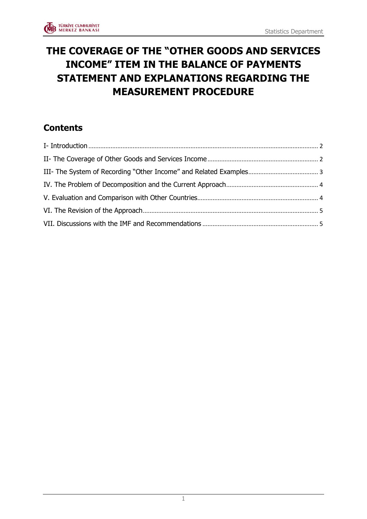# **THE COVERAGE OF THE "OTHER GOODS AND SERVICES INCOME" ITEM IN THE BALANCE OF PAYMENTS STATEMENT AND EXPLANATIONS REGARDING THE MEASUREMENT PROCEDURE**

# **Contents**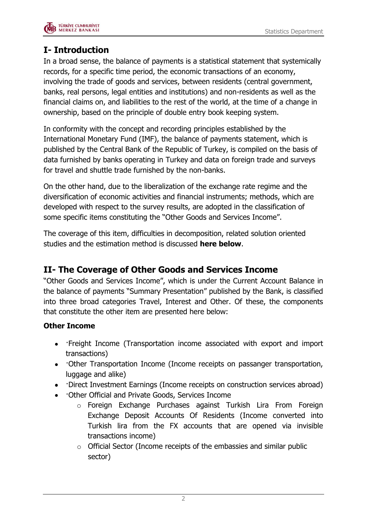

# <span id="page-1-0"></span>**I- Introduction**

In a broad sense, the balance of payments is a statistical statement that systemically records, for a specific time period, the economic transactions of an economy, involving the trade of goods and services, between residents (central government, banks, real persons, legal entities and institutions) and non-residents as well as the financial claims on, and liabilities to the rest of the world, at the time of a change in ownership, based on the principle of double entry book keeping system.

In conformity with the concept and recording principles established by the International Monetary Fund (IMF), the balance of payments statement, which is published by the Central Bank of the Republic of Turkey, is compiled on the basis of data furnished by banks operating in Turkey and data on foreign trade and surveys for travel and shuttle trade furnished by the non-banks.

On the other hand, due to the liberalization of the exchange rate regime and the diversification of economic activities and financial instruments; methods, which are developed with respect to the survey results, are adopted in the classification of some specific items constituting the "Other Goods and Services Income".

The coverage of this item, difficulties in decomposition, related solution oriented studies and the estimation method is discussed **here below**.

## <span id="page-1-1"></span>**II- The Coverage of Other Goods and Services Income**

"Other Goods and Services Income", which is under the Current Account Balance in the balance of payments "Summary Presentation" published by the Bank, is classified into three broad categories Travel, Interest and Other. Of these, the components that constitute the other item are presented here below:

#### **Other Income**

- ·Freight Income (Transportation income associated with export and import transactions)
- Other Transportation Income (Income receipts on passanger transportation, luggage and alike)
- Direct Investment Earnings (Income receipts on construction services abroad)
- ·Other Official and Private Goods, Services Income
	- o Foreign Exchange Purchases against Turkish Lira From Foreign Exchange Deposit Accounts Of Residents (Income converted into Turkish lira from the FX accounts that are opened via invisible transactions income)
	- o Official Sector (Income receipts of the embassies and similar public sector)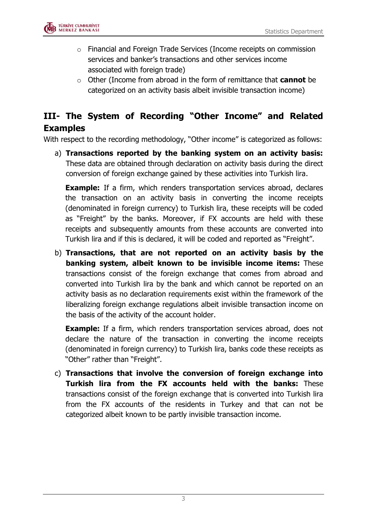

- $\circ$  Financial and Foreign Trade Services (Income receipts on commission services and banker's transactions and other services income associated with foreign trade)
- o Other (Income from abroad in the form of remittance that **cannot** be categorized on an activity basis albeit invisible transaction income)

## <span id="page-2-0"></span>**III- The System of Recording "Other Income" and Related Examples**

With respect to the recording methodology, "Other income" is categorized as follows:

a) **Transactions reported by the banking system on an activity basis:** These data are obtained through declaration on activity basis during the direct conversion of foreign exchange gained by these activities into Turkish lira.

**Example:** If a firm, which renders transportation services abroad, declares the transaction on an activity basis in converting the income receipts (denominated in foreign currency) to Turkish lira, these receipts will be coded as "Freight" by the banks. Moreover, if FX accounts are held with these receipts and subsequently amounts from these accounts are converted into Turkish lira and if this is declared, it will be coded and reported as "Freight".

b) **Transactions, that are not reported on an activity basis by the banking system, albeit known to be invisible income items:** These transactions consist of the foreign exchange that comes from abroad and converted into Turkish lira by the bank and which cannot be reported on an activity basis as no declaration requirements exist within the framework of the liberalizing foreign exchange regulations albeit invisible transaction income on the basis of the activity of the account holder.

**Example:** If a firm, which renders transportation services abroad, does not declare the nature of the transaction in converting the income receipts (denominated in foreign currency) to Turkish lira, banks code these receipts as "Other" rather than "Freight".

c) **Transactions that involve the conversion of foreign exchange into Turkish lira from the FX accounts held with the banks:** These transactions consist of the foreign exchange that is converted into Turkish lira from the FX accounts of the residents in Turkey and that can not be categorized albeit known to be partly invisible transaction income.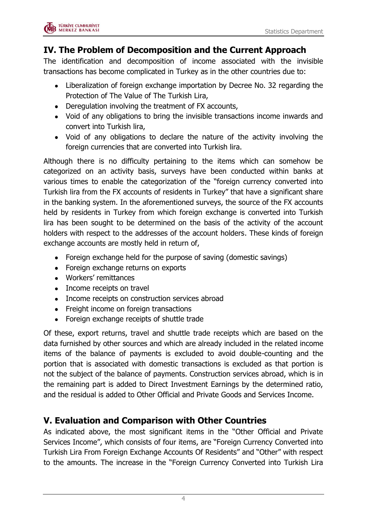

#### <span id="page-3-0"></span>**IV. The Problem of Decomposition and the Current Approach**

The identification and decomposition of income associated with the invisible transactions has become complicated in Turkey as in the other countries due to:

- Liberalization of foreign exchange importation by Decree No. 32 regarding the Protection of The Value of The Turkish Lira,
- Deregulation involving the treatment of FX accounts,
- Void of any obligations to bring the invisible transactions income inwards and convert into Turkish lira,
- Void of any obligations to declare the nature of the activity involving the foreign currencies that are converted into Turkish lira.

Although there is no difficulty pertaining to the items which can somehow be categorized on an activity basis, surveys have been conducted within banks at various times to enable the categorization of the "foreign currency converted into Turkish lira from the FX accounts of residents in Turkey" that have a significant share in the banking system. In the aforementioned surveys, the source of the FX accounts held by residents in Turkey from which foreign exchange is converted into Turkish lira has been sought to be determined on the basis of the activity of the account holders with respect to the addresses of the account holders. These kinds of foreign exchange accounts are mostly held in return of,

- Foreign exchange held for the purpose of saving (domestic savings)
- Foreign exchange returns on exports
- Workers' remittances
- Income receipts on travel
- Income receipts on construction services abroad
- Freight income on foreign transactions
- Foreign exchange receipts of shuttle trade

Of these, export returns, travel and shuttle trade receipts which are based on the data furnished by other sources and which are already included in the related income items of the balance of payments is excluded to avoid double-counting and the portion that is associated with domestic transactions is excluded as that portion is not the subject of the balance of payments. Construction services abroad, which is in the remaining part is added to Direct Investment Earnings by the determined ratio, and the residual is added to Other Official and Private Goods and Services Income.

#### <span id="page-3-1"></span>**V. Evaluation and Comparison with Other Countries**

As indicated above, the most significant items in the "Other Official and Private Services Income", which consists of four items, are "Foreign Currency Converted into Turkish Lira From Foreign Exchange Accounts Of Residents" and "Other" with respect to the amounts. The increase in the "Foreign Currency Converted into Turkish Lira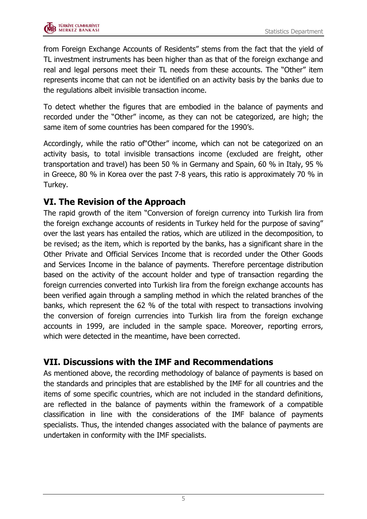

from Foreign Exchange Accounts of Residents" stems from the fact that the yield of TL investment instruments has been higher than as that of the foreign exchange and real and legal persons meet their TL needs from these accounts. The "Other" item represents income that can not be identified on an activity basis by the banks due to the regulations albeit invisible transaction income.

To detect whether the figures that are embodied in the balance of payments and recorded under the "Other" income, as they can not be categorized, are high; the same item of some countries has been compared for the 1990's.

Accordingly, while the ratio of"Other" income, which can not be categorized on an activity basis, to total invisible transactions income (excluded are freight, other transportation and travel) has been 50 % in Germany and Spain, 60 % in Italy, 95 % in Greece, 80 % in Korea over the past 7-8 years, this ratio is approximately 70 % in Turkey.

#### <span id="page-4-0"></span>**VI. The Revision of the Approach**

The rapid growth of the item "Conversion of foreign currency into Turkish lira from the foreign exchange accounts of residents in Turkey held for the purpose of saving" over the last years has entailed the ratios, which are utilized in the decomposition, to be revised; as the item, which is reported by the banks, has a significant share in the Other Private and Official Services Income that is recorded under the Other Goods and Services Income in the balance of payments. Therefore percentage distribution based on the activity of the account holder and type of transaction regarding the foreign currencies converted into Turkish lira from the foreign exchange accounts has been verified again through a sampling method in which the related branches of the banks, which represent the 62 % of the total with respect to transactions involving the conversion of foreign currencies into Turkish lira from the foreign exchange accounts in 1999, are included in the sample space. Moreover, reporting errors, which were detected in the meantime, have been corrected.

#### <span id="page-4-1"></span>**VII. Discussions with the IMF and Recommendations**

As mentioned above, the recording methodology of balance of payments is based on the standards and principles that are established by the IMF for all countries and the items of some specific countries, which are not included in the standard definitions, are reflected in the balance of payments within the framework of a compatible classification in line with the considerations of the IMF balance of payments specialists. Thus, the intended changes associated with the balance of payments are undertaken in conformity with the IMF specialists.